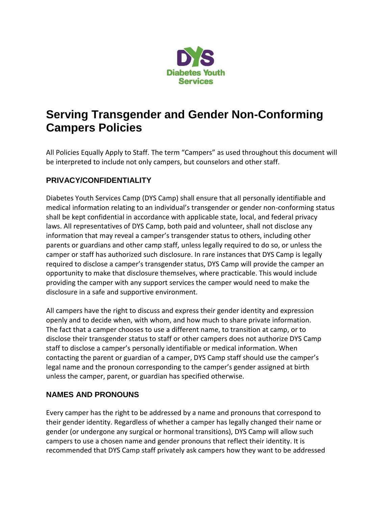

## **Serving Transgender and Gender Non-Conforming Campers Policies**

All Policies Equally Apply to Staff. The term "Campers" as used throughout this document will be interpreted to include not only campers, but counselors and other staff.

## **PRIVACY/CONFIDENTIALITY**

Diabetes Youth Services Camp (DYS Camp) shall ensure that all personally identifiable and medical information relating to an individual's transgender or gender non-conforming status shall be kept confidential in accordance with applicable state, local, and federal privacy laws. All representatives of DYS Camp, both paid and volunteer, shall not disclose any information that may reveal a camper's transgender status to others, including other parents or guardians and other camp staff, unless legally required to do so, or unless the camper or staff has authorized such disclosure. In rare instances that DYS Camp is legally required to disclose a camper's transgender status, DYS Camp will provide the camper an opportunity to make that disclosure themselves, where practicable. This would include providing the camper with any support services the camper would need to make the disclosure in a safe and supportive environment.

All campers have the right to discuss and express their gender identity and expression openly and to decide when, with whom, and how much to share private information. The fact that a camper chooses to use a different name, to transition at camp, or to disclose their transgender status to staff or other campers does not authorize DYS Camp staff to disclose a camper's personally identifiable or medical information. When contacting the parent or guardian of a camper, DYS Camp staff should use the camper's legal name and the pronoun corresponding to the camper's gender assigned at birth unless the camper, parent, or guardian has specified otherwise.

## **NAMES AND PRONOUNS**

Every camper has the right to be addressed by a name and pronouns that correspond to their gender identity. Regardless of whether a camper has legally changed their name or gender (or undergone any surgical or hormonal transitions), DYS Camp will allow such campers to use a chosen name and gender pronouns that reflect their identity. It is recommended that DYS Camp staff privately ask campers how they want to be addressed